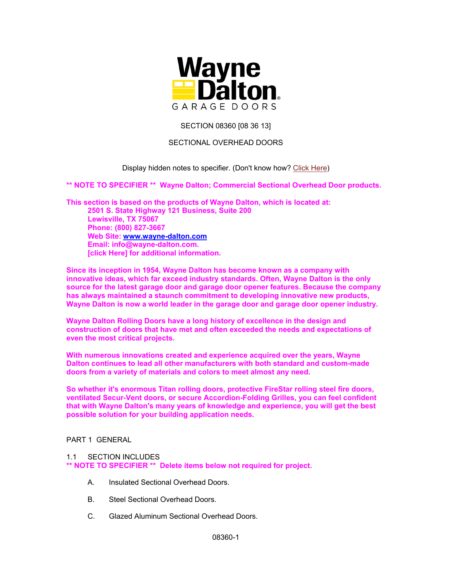

SECTION 08360 [08 36 13]

# SECTIONAL OVERHEAD DOORS

# Display hidden notes to specifier. (Don't know how? Click Here)

**\*\* NOTE TO SPECIFIER \*\* Wayne Dalton; Commercial Sectional Overhead Door products.** 

**This section is based on the products of Wayne Dalton, which is located at: 2501 S. State Highway 121 Business, Suite 200 Lewisville, TX 75067 Phone: (800) 827-3667 Web Site: www.wayne-dalton.com Email: info@wayne-dalton.com. [click Here] for additional information.** 

**Since its inception in 1954, Wayne Dalton has become known as a company with innovative ideas, which far exceed industry standards. Often, Wayne Dalton is the only source for the latest garage door and garage door opener features. Because the company has always maintained a staunch commitment to developing innovative new products, Wayne Dalton is now a world leader in the garage door and garage door opener industry.** 

**Wayne Dalton Rolling Doors have a long history of excellence in the design and construction of doors that have met and often exceeded the needs and expectations of even the most critical projects.** 

**With numerous innovations created and experience acquired over the years, Wayne Dalton continues to lead all other manufacturers with both standard and custom-made doors from a variety of materials and colors to meet almost any need.** 

**So whether it's enormous Titan rolling doors, protective FireStar rolling steel fire doors, ventilated Secur-Vent doors, or secure Accordion-Folding Grilles, you can feel confident that with Wayne Dalton's many years of knowledge and experience, you will get the best possible solution for your building application needs.** 

## PART 1 GENERAL

### 1.1 SECTION INCLUDES

**\*\* NOTE TO SPECIFIER \*\* Delete items below not required for project.** 

- A. Insulated Sectional Overhead Doors.
- B. Steel Sectional Overhead Doors.
- C. Glazed Aluminum Sectional Overhead Doors.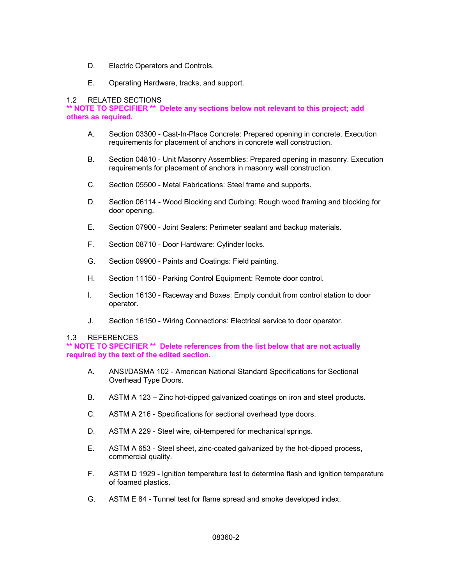- D. Electric Operators and Controls.
- E. Operating Hardware, tracks, and support.

### 1.2 RELATED SECTIONS

**\*\* NOTE TO SPECIFIER \*\* Delete any sections below not relevant to this project; add others as required.** 

- A. Section 03300 Cast-In-Place Concrete: Prepared opening in concrete. Execution requirements for placement of anchors in concrete wall construction.
- B. Section 04810 Unit Masonry Assemblies: Prepared opening in masonry. Execution requirements for placement of anchors in masonry wall construction.
- C. Section 05500 Metal Fabrications: Steel frame and supports.
- D. Section 06114 Wood Blocking and Curbing: Rough wood framing and blocking for door opening.
- E. Section 07900 Joint Sealers: Perimeter sealant and backup materials.
- F. Section 08710 Door Hardware: Cylinder locks.
- G. Section 09900 Paints and Coatings: Field painting.
- H. Section 11150 Parking Control Equipment: Remote door control.
- I. Section 16130 Raceway and Boxes: Empty conduit from control station to door operator.
- J. Section 16150 Wiring Connections: Electrical service to door operator.

### 1.3 REFERENCES

**\*\* NOTE TO SPECIFIER \*\* Delete references from the list below that are not actually required by the text of the edited section.** 

- A. ANSI/DASMA 102 American National Standard Specifications for Sectional Overhead Type Doors.
- B. ASTM A 123 Zinc hot-dipped galvanized coatings on iron and steel products.
- C. ASTM A 216 Specifications for sectional overhead type doors.
- D. ASTM A 229 Steel wire, oil-tempered for mechanical springs.
- E. ASTM A 653 Steel sheet, zinc-coated galvanized by the hot-dipped process, commercial quality.
- F. ASTM D 1929 Ignition temperature test to determine flash and ignition temperature of foamed plastics.
- G. ASTM E 84 Tunnel test for flame spread and smoke developed index.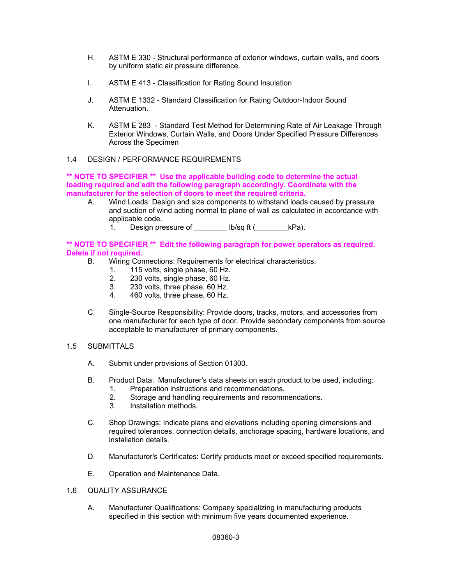- H. ASTM E 330 Structural performance of exterior windows, curtain walls, and doors by uniform static air pressure difference.
- I. ASTM E 413 Classification for Rating Sound Insulation
- J. ASTM E 1332 Standard Classification for Rating Outdoor-Indoor Sound Attenuation.
- K. ASTM E 283 Standard Test Method for Determining Rate of Air Leakage Through Exterior Windows, Curtain Walls, and Doors Under Specified Pressure Differences Across the Specimen

# 1.4 DESIGN / PERFORMANCE REQUIREMENTS

**\*\* NOTE TO SPECIFIER \*\* Use the applicable building code to determine the actual loading required and edit the following paragraph accordingly. Coordinate with the manufacturer for the selection of doors to meet the required criteria.** 

- A. Wind Loads: Design and size components to withstand loads caused by pressure and suction of wind acting normal to plane of wall as calculated in accordance with applicable code.
	- 1. Design pressure of \_\_\_\_\_\_\_ lb/sq ft (\_\_\_\_\_\_\_\_\_kPa).

**\*\* NOTE TO SPECIFIER \*\* Edit the following paragraph for power operators as required. Delete if not required.** 

- B. Wiring Connections: Requirements for electrical characteristics.
	- 1. 115 volts, single phase, 60 Hz.
	- 2. 230 volts, single phase, 60 Hz.
	- 3. 230 volts, three phase, 60 Hz.
	- 4. 460 volts, three phase, 60 Hz.
- C. Single-Source Responsibility: Provide doors, tracks, motors, and accessories from one manufacturer for each type of door. Provide secondary components from source acceptable to manufacturer of primary components.
- 1.5 SUBMITTALS
	- A. Submit under provisions of Section 01300.
	- B. Product Data: Manufacturer's data sheets on each product to be used, including: 1. Preparation instructions and recommendations.
		- 2. Storage and handling requirements and recommendations.
		- 3. Installation methods.
	- C. Shop Drawings: Indicate plans and elevations including opening dimensions and required tolerances, connection details, anchorage spacing, hardware locations, and installation details.
	- D. Manufacturer's Certificates: Certify products meet or exceed specified requirements.
	- E. Operation and Maintenance Data.

### 1.6 QUALITY ASSURANCE

A. Manufacturer Qualifications: Company specializing in manufacturing products specified in this section with minimum five years documented experience.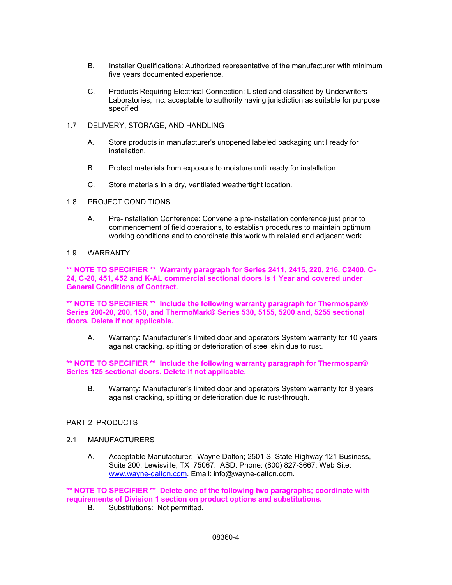- B. Installer Qualifications: Authorized representative of the manufacturer with minimum five years documented experience.
- C. Products Requiring Electrical Connection: Listed and classified by Underwriters Laboratories, Inc. acceptable to authority having jurisdiction as suitable for purpose specified.
- 1.7 DELIVERY, STORAGE, AND HANDLING
	- A. Store products in manufacturer's unopened labeled packaging until ready for installation.
	- B. Protect materials from exposure to moisture until ready for installation.
	- C. Store materials in a dry, ventilated weathertight location.
- 1.8 PROJECT CONDITIONS
	- A. Pre-Installation Conference: Convene a pre-installation conference just prior to commencement of field operations, to establish procedures to maintain optimum working conditions and to coordinate this work with related and adjacent work.
- 1.9 WARRANTY

**\*\* NOTE TO SPECIFIER \*\* Warranty paragraph for Series 2411, 2415, 220, 216, C2400, C-24, C-20, 451, 452 and K-AL commercial sectional doors is 1 Year and covered under General Conditions of Contract.** 

**\*\* NOTE TO SPECIFIER \*\* Include the following warranty paragraph for Thermospan® Series 200-20, 200, 150, and ThermoMark® Series 530, 5155, 5200 and, 5255 sectional doors. Delete if not applicable.** 

A. Warranty: Manufacturer's limited door and operators System warranty for 10 years against cracking, splitting or deterioration of steel skin due to rust.

**\*\* NOTE TO SPECIFIER \*\* Include the following warranty paragraph for Thermospan® Series 125 sectional doors. Delete if not applicable.** 

B. Warranty: Manufacturer's limited door and operators System warranty for 8 years against cracking, splitting or deterioration due to rust-through.

# PART 2 PRODUCTS

- 2.1 MANUFACTURERS
	- A. Acceptable Manufacturer: Wayne Dalton; 2501 S. State Highway 121 Business, Suite 200, Lewisville, TX 75067. ASD. Phone: (800) 827-3667; Web Site: www.wayne-dalton.com. Email: info@wayne-dalton.com.

**\*\* NOTE TO SPECIFIER \*\* Delete one of the following two paragraphs; coordinate with requirements of Division 1 section on product options and substitutions.** 

B. Substitutions: Not permitted.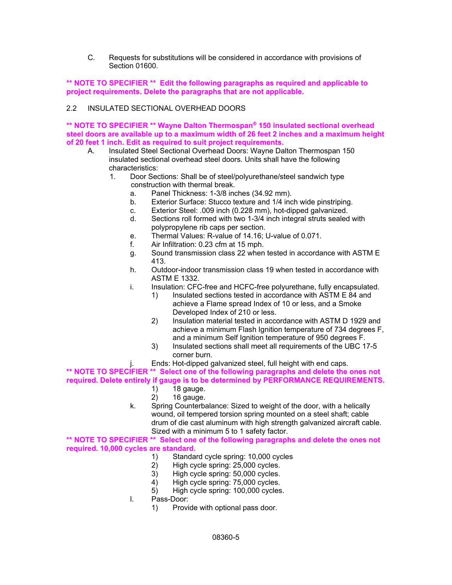C. Requests for substitutions will be considered in accordance with provisions of Section 01600.

## **\*\* NOTE TO SPECIFIER \*\* Edit the following paragraphs as required and applicable to project requirements. Delete the paragraphs that are not applicable.**

# 2.2 INSULATED SECTIONAL OVERHEAD DOORS

**\*\* NOTE TO SPECIFIER \*\* Wayne Dalton Thermospan® 150 insulated sectional overhead steel doors are available up to a maximum width of 26 feet 2 inches and a maximum height of 20 feet 1 inch. Edit as required to suit project requirements.** 

- A. Insulated Steel Sectional Overhead Doors: Wayne Dalton Thermospan 150 insulated sectional overhead steel doors. Units shall have the following characteristics:
	- 1. Door Sections: Shall be of steel/polyurethane/steel sandwich type construction with thermal break.
		- a. Panel Thickness: 1-3/8 inches (34.92 mm).
		- b. Exterior Surface: Stucco texture and 1/4 inch wide pinstriping.
		- c. Exterior Steel: .009 inch (0.228 mm), hot-dipped galvanized.
		- d. Sections roll formed with two 1-3/4 inch integral struts sealed with polypropylene rib caps per section.
		- e. Thermal Values: R-value of 14.16; U-value of 0.071.
		- f. Air Infiltration: 0.23 cfm at 15 mph.
		- g. Sound transmission class 22 when tested in accordance with ASTM E 413.
		- h. Outdoor-indoor transmission class 19 when tested in accordance with ASTM E 1332.
		- i. Insulation: CFC-free and HCFC-free polyurethane, fully encapsulated.
			- 1) Insulated sections tested in accordance with ASTM E 84 and achieve a Flame spread Index of 10 or less, and a Smoke Developed Index of 210 or less.
			- 2) Insulation material tested in accordance with ASTM D 1929 and achieve a minimum Flash Ignition temperature of 734 degrees F, and a minimum Self Ignition temperature of 950 degrees F.
			- 3) Insulated sections shall meet all requirements of the UBC 17-5 corner burn.
		- j. Ends: Hot-dipped galvanized steel, full height with end caps.

**\*\* NOTE TO SPECIFIER \*\* Select one of the following paragraphs and delete the ones not required. Delete entirely if gauge is to be determined by PERFORMANCE REQUIREMENTS.** 

- 1) 18 gauge.
	- 2) 16 gauge.
- k. Spring Counterbalance: Sized to weight of the door, with a helically wound, oil tempered torsion spring mounted on a steel shaft; cable drum of die cast aluminum with high strength galvanized aircraft cable. Sized with a minimum 5 to 1 safety factor.

**\*\* NOTE TO SPECIFIER \*\* Select one of the following paragraphs and delete the ones not required. 10,000 cycles are standard.** 

- 1) Standard cycle spring: 10,000 cycles<br>2) High cycle spring: 25,000 cycles.
- High cycle spring: 25,000 cycles.
- 3) High cycle spring: 50,000 cycles.
- 4) High cycle spring: 75,000 cycles.
- 5) High cycle spring: 100,000 cycles.
- l. Pass-Door:
	- 1) Provide with optional pass door.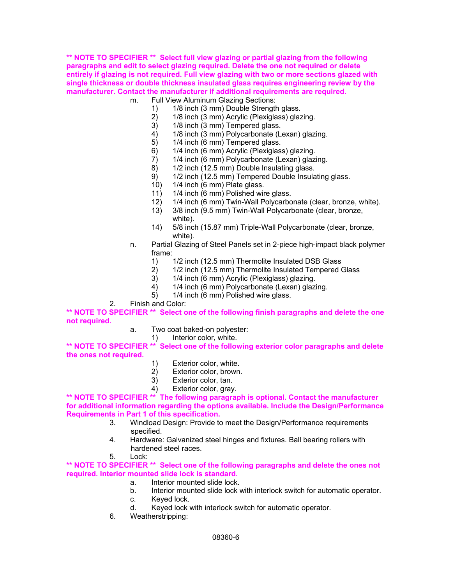**\*\* NOTE TO SPECIFIER \*\* Select full view glazing or partial glazing from the following paragraphs and edit to select glazing required. Delete the one not required or delete entirely if glazing is not required. Full view glazing with two or more sections glazed with single thickness or double thickness insulated glass requires engineering review by the manufacturer. Contact the manufacturer if additional requirements are required.** 

- m. Full View Aluminum Glazing Sections:
	- 1) 1/8 inch (3 mm) Double Strength glass.
	- 2) 1/8 inch (3 mm) Acrylic (Plexiglass) glazing.
	- 3) 1/8 inch (3 mm) Tempered glass.
	- 4) 1/8 inch (3 mm) Polycarbonate (Lexan) glazing.
	- 5) 1/4 inch (6 mm) Tempered glass.
	- 6) 1/4 inch (6 mm) Acrylic (Plexiglass) glazing.<br>7) 1/4 inch (6 mm) Polycarbonate (Lexan) glaz
	- 1/4 inch (6 mm) Polycarbonate (Lexan) glazing.
	- 8) 1/2 inch (12.5 mm) Double Insulating glass.
	- 9) 1/2 inch (12.5 mm) Tempered Double Insulating glass.
	- 10) 1/4 inch (6 mm) Plate glass.
	- 11) 1/4 inch (6 mm) Polished wire glass.
	- 12) 1/4 inch (6 mm) Twin-Wall Polycarbonate (clear, bronze, white).
	- 13) 3/8 inch (9.5 mm) Twin-Wall Polycarbonate (clear, bronze, white).
	- 14) 5/8 inch (15.87 mm) Triple-Wall Polycarbonate (clear, bronze, white).
- n. Partial Glazing of Steel Panels set in 2-piece high-impact black polymer frame:
	- 1) 1/2 inch (12.5 mm) Thermolite Insulated DSB Glass<br>2) 1/2 inch (12.5 mm) Thermolite Insulated Tempered
	- 2) 1/2 inch (12.5 mm) Thermolite Insulated Tempered Glass
	- 3) 1/4 inch (6 mm) Acrylic (Plexiglass) glazing.
	- 4) 1/4 inch (6 mm) Polycarbonate (Lexan) glazing.
	- 5) 1/4 inch (6 mm) Polished wire glass.
- 2. Finish and Color:

**\*\* NOTE TO SPECIFIER \*\* Select one of the following finish paragraphs and delete the one not required.** 

- a. Two coat baked-on polyester:
	- 1) Interior color, white.

**\*\* NOTE TO SPECIFIER \*\* Select one of the following exterior color paragraphs and delete the ones not required.** 

- 1) Exterior color, white.<br>2) Exterior color, brown
- Exterior color, brown.
- 3) Exterior color, tan.
- 4) Exterior color, gray.

**\*\* NOTE TO SPECIFIER \*\* The following paragraph is optional. Contact the manufacturer for additional information regarding the options available. Include the Design/Performance Requirements in Part 1 of this specification.** 

- 3. Windload Design: Provide to meet the Design/Performance requirements specified.
- 4. Hardware: Galvanized steel hinges and fixtures. Ball bearing rollers with hardened steel races.
- 5. Lock:

**\*\* NOTE TO SPECIFIER \*\* Select one of the following paragraphs and delete the ones not required. Interior mounted slide lock is standard.** 

- a. Interior mounted slide lock.
- b. Interior mounted slide lock with interlock switch for automatic operator.
- c. Keyed lock.
- d. Keyed lock with interlock switch for automatic operator.
- 6. Weatherstripping: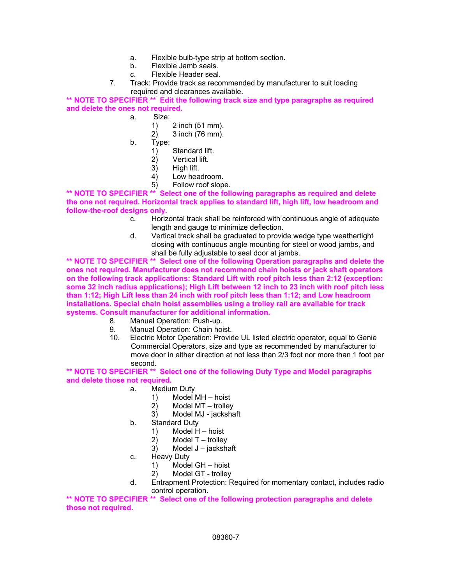- a. Flexible bulb-type strip at bottom section.
- b. Flexible Jamb seals.
- c. Flexible Header seal.
- 7. Track: Provide track as recommended by manufacturer to suit loading required and clearances available.

**\*\* NOTE TO SPECIFIER \*\* Edit the following track size and type paragraphs as required and delete the ones not required.** 

- a. Size:
	- 1) 2 inch (51 mm).
	- 2) 3 inch (76 mm).
	- b. Type:
		- 1) Standard lift.<br>2) Vertical lift.
		- Vertical lift.
		- 3) High lift.
		- 4) Low headroom.
		- 5) Follow roof slope.

**\*\* NOTE TO SPECIFIER \*\* Select one of the following paragraphs as required and delete the one not required. Horizontal track applies to standard lift, high lift, low headroom and follow-the-roof designs only.** 

- c. Horizontal track shall be reinforced with continuous angle of adequate length and gauge to minimize deflection.
- d. Vertical track shall be graduated to provide wedge type weathertight closing with continuous angle mounting for steel or wood jambs, and shall be fully adjustable to seal door at jambs.

**\*\* NOTE TO SPECIFIER \*\* Select one of the following Operation paragraphs and delete the ones not required. Manufacturer does not recommend chain hoists or jack shaft operators on the following track applications: Standard Lift with roof pitch less than 2:12 (exception: some 32 inch radius applications); High Lift between 12 inch to 23 inch with roof pitch less than 1:12; High Lift less than 24 inch with roof pitch less than 1:12; and Low headroom installations. Special chain hoist assemblies using a trolley rail are available for track systems. Consult manufacturer for additional information.** 

- 8. Manual Operation: Push-up.
- 9. Manual Operation: Chain hoist.
- 10. Electric Motor Operation: Provide UL listed electric operator, equal to Genie Commercial Operators, size and type as recommended by manufacturer to move door in either direction at not less than 2/3 foot nor more than 1 foot per second.

**\*\* NOTE TO SPECIFIER \*\* Select one of the following Duty Type and Model paragraphs and delete those not required.** 

- a. Medium Duty
	- 1) Model MH hoist
	- 2) Model MT trolley
	- 3) Model MJ jackshaft
- b. Standard Duty
	- 1) Model H hoist
	- 2) Model T trolley
	- 3) Model J jackshaft
- c. Heavy Duty
	- 1) Model GH hoist
	- 2) Model GT trolley
- d. Entrapment Protection: Required for momentary contact, includes radio control operation.

**\*\* NOTE TO SPECIFIER \*\* Select one of the following protection paragraphs and delete those not required.**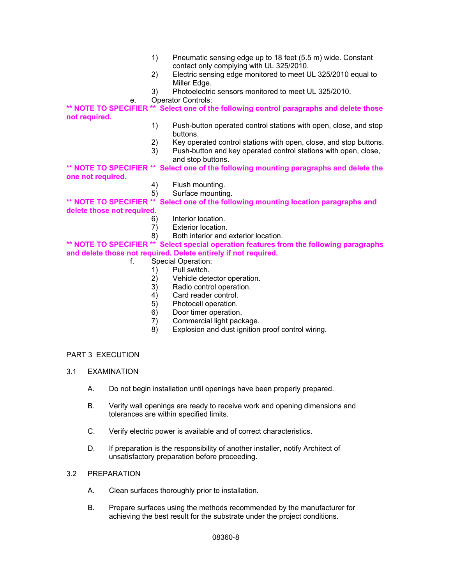- 1) Pneumatic sensing edge up to 18 feet (5.5 m) wide. Constant contact only complying with UL 325/2010.
- 2) Electric sensing edge monitored to meet UL 325/2010 equal to Miller Edge.
- 3) Photoelectric sensors monitored to meet UL 325/2010.
- e. Operator Controls:

**\*\* NOTE TO SPECIFIER \*\* Select one of the following control paragraphs and delete those not required.** 

- 1) Push-button operated control stations with open, close, and stop buttons.
- 2) Key operated control stations with open, close, and stop buttons.
- 3) Push-button and key operated control stations with open, close, and stop buttons.

**\*\* NOTE TO SPECIFIER \*\* Select one of the following mounting paragraphs and delete the one not required.** 

- 4) Flush mounting.
- 5) Surface mounting.

**\*\* NOTE TO SPECIFIER \*\* Select one of the following mounting location paragraphs and delete those not required.** 

- 6) Interior location.
- 7) Exterior location.
- 8) Both interior and exterior location.

### **\*\* NOTE TO SPECIFIER \*\* Select special operation features from the following paragraphs and delete those not required. Delete entirely if not required.**

- f. Special Operation:
	- 1) Pull switch.
	- 2) Vehicle detector operation.
	- 3) Radio control operation.
	- 4) Card reader control.
	- 5) Photocell operation.
	- 6) Door timer operation.
	- 7) Commercial light package.
	- 8) Explosion and dust ignition proof control wiring.

### PART 3 EXECUTION

- 3.1 EXAMINATION
	- A. Do not begin installation until openings have been properly prepared.
	- B. Verify wall openings are ready to receive work and opening dimensions and tolerances are within specified limits.
	- C. Verify electric power is available and of correct characteristics.
	- D. If preparation is the responsibility of another installer, notify Architect of unsatisfactory preparation before proceeding.

### 3.2 PREPARATION

- A. Clean surfaces thoroughly prior to installation.
- B. Prepare surfaces using the methods recommended by the manufacturer for achieving the best result for the substrate under the project conditions.